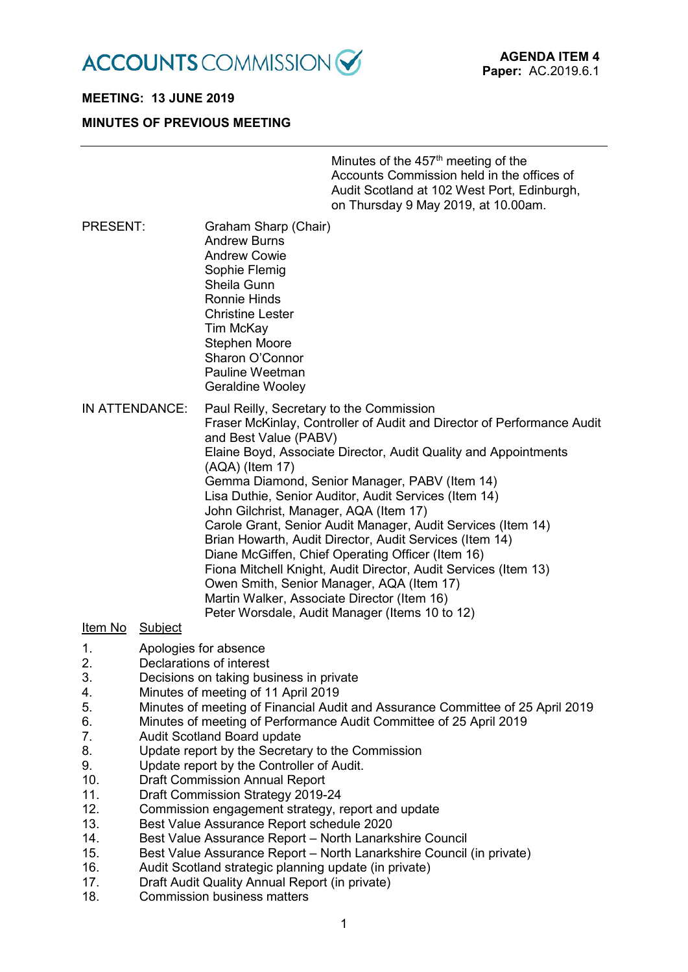

# **MEETING: 13 JUNE 2019**

### **MINUTES OF PREVIOUS MEETING**

| Minutes of the 457 <sup>th</sup> meeting of the |
|-------------------------------------------------|
| Accounts Commission held in the offices of      |
| Audit Scotland at 102 West Port, Edinburgh,     |
| on Thursday 9 May 2019, at 10.00am.             |

PRESENT: Graham Sharp (Chair) Andrew Burns Andrew Cowie Sophie Flemig Sheila Gunn Ronnie Hinds Christine Lester Tim McKay Stephen Moore Sharon O'Connor Pauline Weetman

Geraldine Wooley

IN ATTENDANCE: Paul Reilly, Secretary to the Commission Fraser McKinlay, Controller of Audit and Director of Performance Audit and Best Value (PABV) Elaine Boyd, Associate Director, Audit Quality and Appointments (AQA) (Item 17) Gemma Diamond, Senior Manager, PABV (Item 14) Lisa Duthie, Senior Auditor, Audit Services (Item 14) John Gilchrist, Manager, AQA (Item 17) Carole Grant, Senior Audit Manager, Audit Services (Item 14) Brian Howarth, Audit Director, Audit Services (Item 14) Diane McGiffen, Chief Operating Officer (Item 16) Fiona Mitchell Knight, Audit Director, Audit Services (Item 13) Owen Smith, Senior Manager, AQA (Item 17) Martin Walker, Associate Director (Item 16) Peter Worsdale, Audit Manager (Items 10 to 12)

#### Item No Subject

- 1. Apologies for absence<br>2. Declarations of interes
- 2. Declarations of interest<br>3 Decisions on taking bus
- Decisions on taking business in private
- 4. Minutes of meeting of 11 April 2019
- 5. Minutes of meeting of Financial Audit and Assurance Committee of 25 April 2019
- 6. Minutes of meeting of Performance Audit Committee of 25 April 2019
- 7. Audit Scotland Board update
- 8. Update report by the Secretary to the Commission
- 9. Update report by the Controller of Audit.<br>10 Draft Commission Annual Report
- **Draft Commission Annual Report**
- 11. Draft Commission Strategy 2019-24
- 12. Commission engagement strategy, report and update
- 13. Best Value Assurance Report schedule 2020
- 14. Best Value Assurance Report North Lanarkshire Council
- 15. Best Value Assurance Report North Lanarkshire Council (in private)
- 16. Audit Scotland strategic planning update (in private)
- 17. Draft Audit Quality Annual Report (in private)
- 18. Commission business matters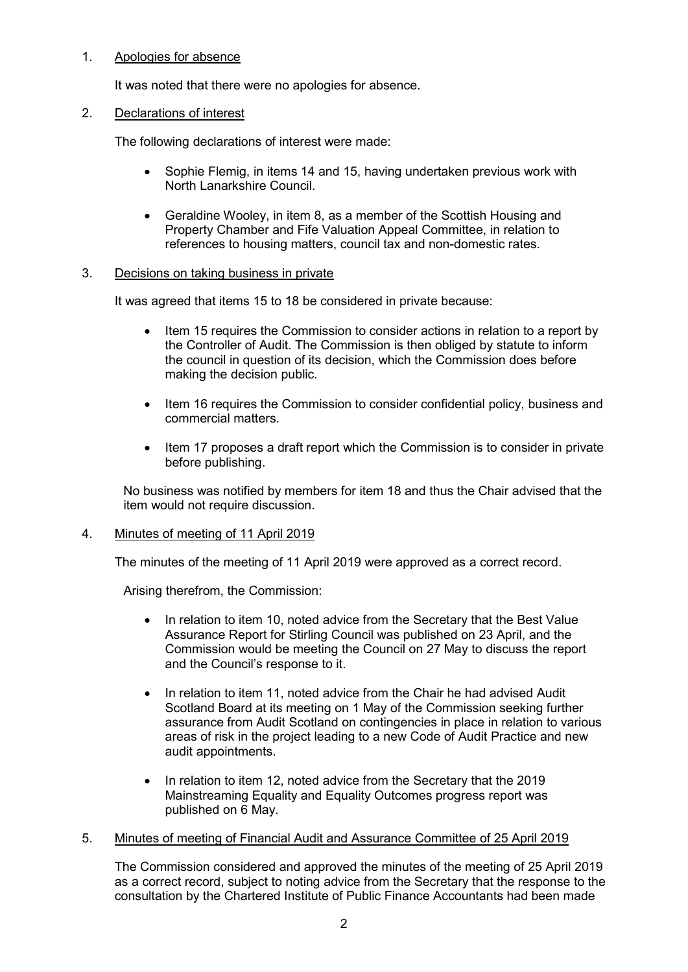# 1. Apologies for absence

It was noted that there were no apologies for absence.

# 2. Declarations of interest

The following declarations of interest were made:

- Sophie Flemig, in items 14 and 15, having undertaken previous work with North Lanarkshire Council.
- Geraldine Wooley, in item 8, as a member of the Scottish Housing and Property Chamber and Fife Valuation Appeal Committee, in relation to references to housing matters, council tax and non-domestic rates.

# 3. Decisions on taking business in private

It was agreed that items 15 to 18 be considered in private because:

- Item 15 requires the Commission to consider actions in relation to a report by the Controller of Audit. The Commission is then obliged by statute to inform the council in question of its decision, which the Commission does before making the decision public.
- Item 16 requires the Commission to consider confidential policy, business and commercial matters.
- Item 17 proposes a draft report which the Commission is to consider in private before publishing.

No business was notified by members for item 18 and thus the Chair advised that the item would not require discussion.

# 4. Minutes of meeting of 11 April 2019

The minutes of the meeting of 11 April 2019 were approved as a correct record.

Arising therefrom, the Commission:

- In relation to item 10, noted advice from the Secretary that the Best Value Assurance Report for Stirling Council was published on 23 April, and the Commission would be meeting the Council on 27 May to discuss the report and the Council's response to it.
- In relation to item 11, noted advice from the Chair he had advised Audit Scotland Board at its meeting on 1 May of the Commission seeking further assurance from Audit Scotland on contingencies in place in relation to various areas of risk in the project leading to a new Code of Audit Practice and new audit appointments.
- In relation to item 12, noted advice from the Secretary that the 2019 Mainstreaming Equality and Equality Outcomes progress report was published on 6 May.

# 5. Minutes of meeting of Financial Audit and Assurance Committee of 25 April 2019

The Commission considered and approved the minutes of the meeting of 25 April 2019 as a correct record, subject to noting advice from the Secretary that the response to the consultation by the Chartered Institute of Public Finance Accountants had been made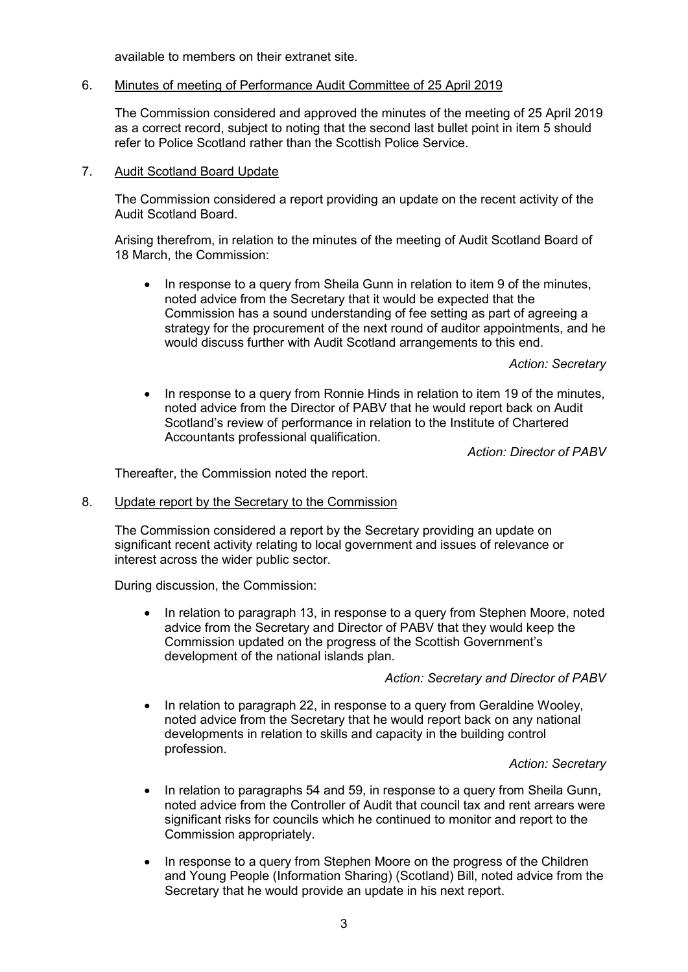available to members on their extranet site.

### 6. Minutes of meeting of Performance Audit Committee of 25 April 2019

The Commission considered and approved the minutes of the meeting of 25 April 2019 as a correct record, subject to noting that the second last bullet point in item 5 should refer to Police Scotland rather than the Scottish Police Service.

### 7. Audit Scotland Board Update

The Commission considered a report providing an update on the recent activity of the Audit Scotland Board.

Arising therefrom, in relation to the minutes of the meeting of Audit Scotland Board of 18 March, the Commission:

In response to a query from Sheila Gunn in relation to item 9 of the minutes, noted advice from the Secretary that it would be expected that the Commission has a sound understanding of fee setting as part of agreeing a strategy for the procurement of the next round of auditor appointments, and he would discuss further with Audit Scotland arrangements to this end.

*Action: Secretary*

• In response to a query from Ronnie Hinds in relation to item 19 of the minutes, noted advice from the Director of PABV that he would report back on Audit Scotland's review of performance in relation to the Institute of Chartered Accountants professional qualification.

*Action: Director of PABV*

Thereafter, the Commission noted the report.

#### 8. Update report by the Secretary to the Commission

The Commission considered a report by the Secretary providing an update on significant recent activity relating to local government and issues of relevance or interest across the wider public sector.

During discussion, the Commission:

• In relation to paragraph 13, in response to a query from Stephen Moore, noted advice from the Secretary and Director of PABV that they would keep the Commission updated on the progress of the Scottish Government's development of the national islands plan.

*Action: Secretary and Director of PABV*

• In relation to paragraph 22, in response to a query from Geraldine Wooley, noted advice from the Secretary that he would report back on any national developments in relation to skills and capacity in the building control profession.

### *Action: Secretary*

- In relation to paragraphs 54 and 59, in response to a query from Sheila Gunn, noted advice from the Controller of Audit that council tax and rent arrears were significant risks for councils which he continued to monitor and report to the Commission appropriately.
- In response to a query from Stephen Moore on the progress of the Children and Young People (Information Sharing) (Scotland) Bill, noted advice from the Secretary that he would provide an update in his next report.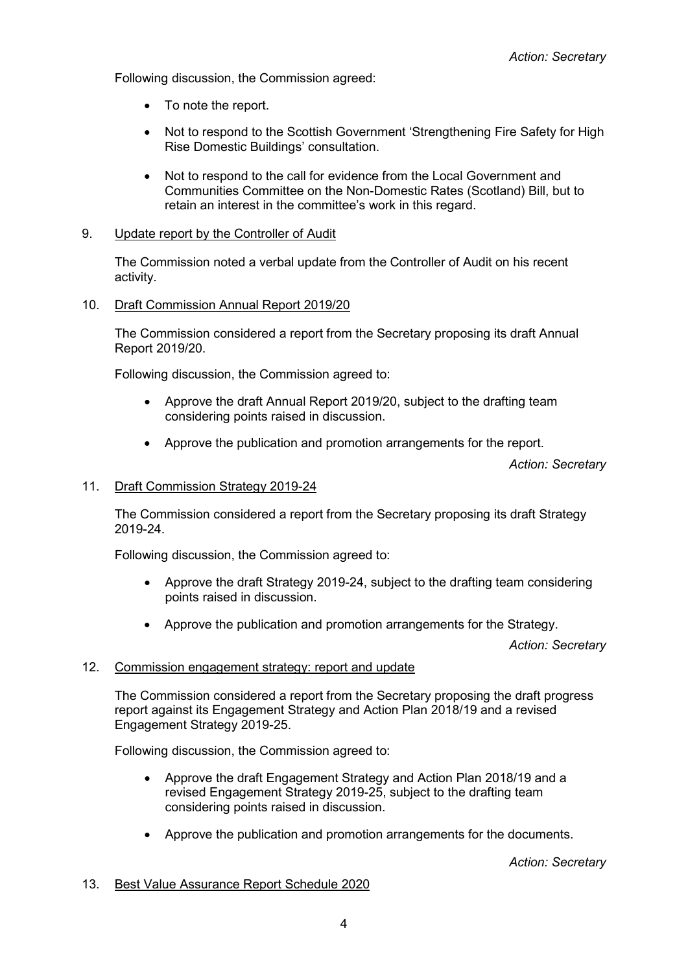Following discussion, the Commission agreed:

- To note the report.
- Not to respond to the Scottish Government 'Strengthening Fire Safety for High Rise Domestic Buildings' consultation.
- Not to respond to the call for evidence from the Local Government and Communities Committee on the Non-Domestic Rates (Scotland) Bill, but to retain an interest in the committee's work in this regard.

### 9. Update report by the Controller of Audit

The Commission noted a verbal update from the Controller of Audit on his recent activity.

### 10. Draft Commission Annual Report 2019/20

The Commission considered a report from the Secretary proposing its draft Annual Report 2019/20.

Following discussion, the Commission agreed to:

- Approve the draft Annual Report 2019/20, subject to the drafting team considering points raised in discussion.
- Approve the publication and promotion arrangements for the report.

*Action: Secretary*

#### 11. Draft Commission Strategy 2019-24

The Commission considered a report from the Secretary proposing its draft Strategy 2019-24.

Following discussion, the Commission agreed to:

- Approve the draft Strategy 2019-24, subject to the drafting team considering points raised in discussion.
- Approve the publication and promotion arrangements for the Strategy.

*Action: Secretary*

#### 12. Commission engagement strategy: report and update

The Commission considered a report from the Secretary proposing the draft progress report against its Engagement Strategy and Action Plan 2018/19 and a revised Engagement Strategy 2019-25.

Following discussion, the Commission agreed to:

- Approve the draft Engagement Strategy and Action Plan 2018/19 and a revised Engagement Strategy 2019-25, subject to the drafting team considering points raised in discussion.
- Approve the publication and promotion arrangements for the documents.

*Action: Secretary*

#### 13. Best Value Assurance Report Schedule 2020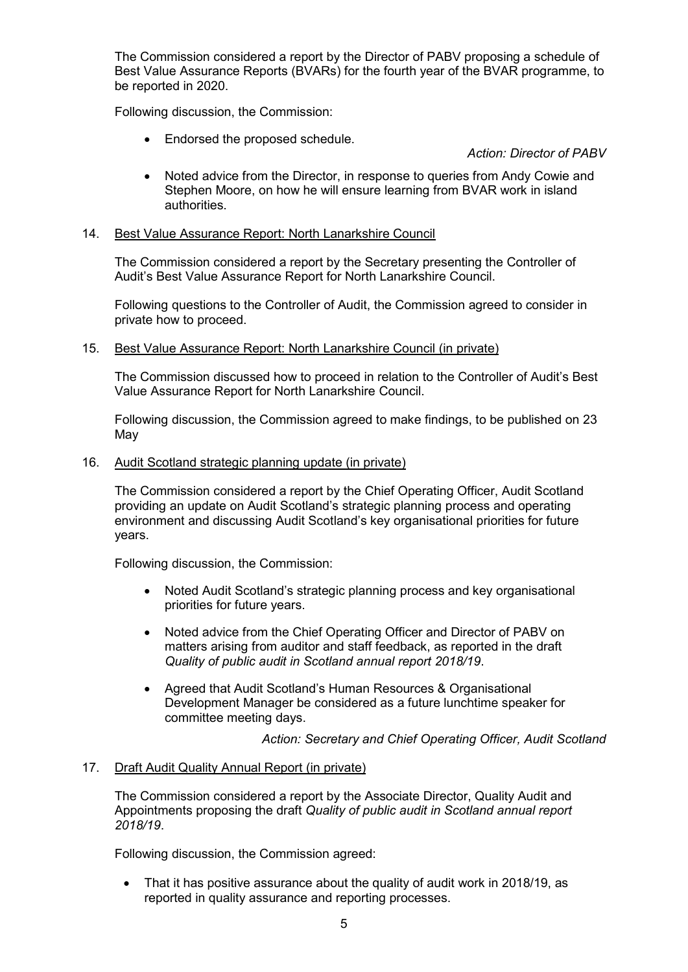The Commission considered a report by the Director of PABV proposing a schedule of Best Value Assurance Reports (BVARs) for the fourth year of the BVAR programme, to be reported in 2020.

Following discussion, the Commission:

• Endorsed the proposed schedule.

*Action: Director of PABV*

• Noted advice from the Director, in response to queries from Andy Cowie and Stephen Moore, on how he will ensure learning from BVAR work in island authorities.

### 14. Best Value Assurance Report: North Lanarkshire Council

The Commission considered a report by the Secretary presenting the Controller of Audit's Best Value Assurance Report for North Lanarkshire Council.

Following questions to the Controller of Audit, the Commission agreed to consider in private how to proceed.

### 15. Best Value Assurance Report: North Lanarkshire Council (in private)

The Commission discussed how to proceed in relation to the Controller of Audit's Best Value Assurance Report for North Lanarkshire Council.

Following discussion, the Commission agreed to make findings, to be published on 23 May

#### 16. Audit Scotland strategic planning update (in private)

The Commission considered a report by the Chief Operating Officer, Audit Scotland providing an update on Audit Scotland's strategic planning process and operating environment and discussing Audit Scotland's key organisational priorities for future years.

Following discussion, the Commission:

- Noted Audit Scotland's strategic planning process and key organisational priorities for future years.
- Noted advice from the Chief Operating Officer and Director of PABV on matters arising from auditor and staff feedback, as reported in the draft *Quality of public audit in Scotland annual report 2018/19*.
- Agreed that Audit Scotland's Human Resources & Organisational Development Manager be considered as a future lunchtime speaker for committee meeting days.

*Action: Secretary and Chief Operating Officer, Audit Scotland*

#### 17. Draft Audit Quality Annual Report (in private)

The Commission considered a report by the Associate Director, Quality Audit and Appointments proposing the draft *Quality of public audit in Scotland annual report 2018/19*.

Following discussion, the Commission agreed:

• That it has positive assurance about the quality of audit work in 2018/19, as reported in quality assurance and reporting processes.